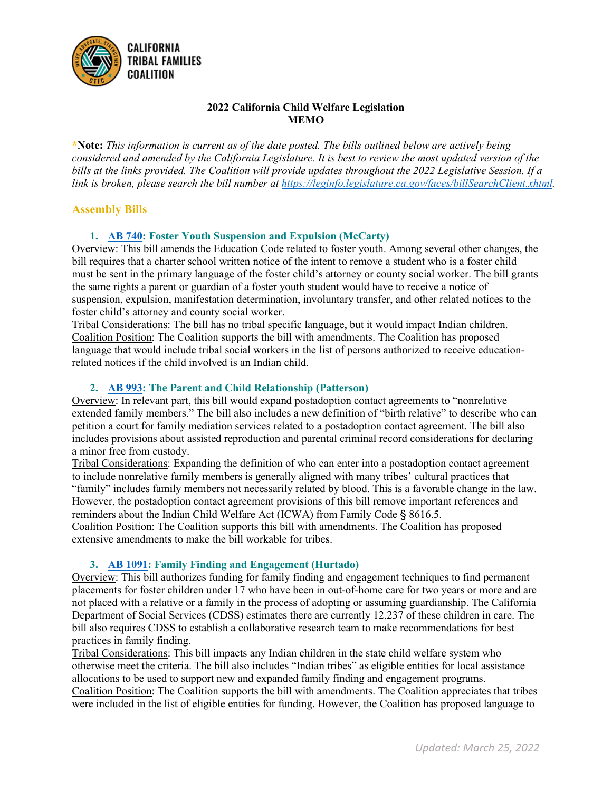

# **2022 California Child Welfare Legislation MEMO**

**\*Note:** *This information is current as of the date posted. The bills outlined below are actively being considered and amended by the California Legislature. It is best to review the most updated version of the bills at the links provided. The Coalition will provide updates throughout the 2022 Legislative Session. If a link is broken, please search the bill number at [https://leginfo.legislature.ca.gov/faces/billSearchClient.xhtml.](https://leginfo.legislature.ca.gov/faces/billSearchClient.xhtml)* 

# **Assembly Bills**

# **1. [AB 740:](https://leginfo.legislature.ca.gov/faces/billNavClient.xhtml?bill_id=202120220AB740) Foster Youth Suspension and Expulsion (McCarty)**

Overview: This bill amends the Education Code related to foster youth. Among several other changes, the bill requires that a charter school written notice of the intent to remove a student who is a foster child must be sent in the primary language of the foster child's attorney or county social worker. The bill grants the same rights a parent or guardian of a foster youth student would have to receive a notice of suspension, expulsion, manifestation determination, involuntary transfer, and other related notices to the foster child's attorney and county social worker.

Tribal Considerations: The bill has no tribal specific language, but it would impact Indian children. Coalition Position: The Coalition supports the bill with amendments. The Coalition has proposed language that would include tribal social workers in the list of persons authorized to receive educationrelated notices if the child involved is an Indian child.

## **2. [AB 993:](https://leginfo.legislature.ca.gov/faces/billTextClient.xhtml?bill_id=202120220AB993) The Parent and Child Relationship (Patterson)**

Overview: In relevant part, this bill would expand postadoption contact agreements to "nonrelative extended family members." The bill also includes a new definition of "birth relative" to describe who can petition a court for family mediation services related to a postadoption contact agreement. The bill also includes provisions about assisted reproduction and parental criminal record considerations for declaring a minor free from custody.

Tribal Considerations: Expanding the definition of who can enter into a postadoption contact agreement to include nonrelative family members is generally aligned with many tribes' cultural practices that "family" includes family members not necessarily related by blood. This is a favorable change in the law. However, the postadoption contact agreement provisions of this bill remove important references and reminders about the Indian Child Welfare Act (ICWA) from Family Code § 8616.5.

Coalition Position: The Coalition supports this bill with amendments. The Coalition has proposed extensive amendments to make the bill workable for tribes.

## **3. [AB 1091:](https://leginfo.legislature.ca.gov/faces/billNavClient.xhtml?bill_id=202120220SB1091) Family Finding and Engagement (Hurtado)**

Overview: This bill authorizes funding for family finding and engagement techniques to find permanent placements for foster children under 17 who have been in out-of-home care for two years or more and are not placed with a relative or a family in the process of adopting or assuming guardianship. The California Department of Social Services (CDSS) estimates there are currently 12,237 of these children in care. The bill also requires CDSS to establish a collaborative research team to make recommendations for best practices in family finding.

Tribal Considerations: This bill impacts any Indian children in the state child welfare system who otherwise meet the criteria. The bill also includes "Indian tribes" as eligible entities for local assistance allocations to be used to support new and expanded family finding and engagement programs. Coalition Position: The Coalition supports the bill with amendments. The Coalition appreciates that tribes were included in the list of eligible entities for funding. However, the Coalition has proposed language to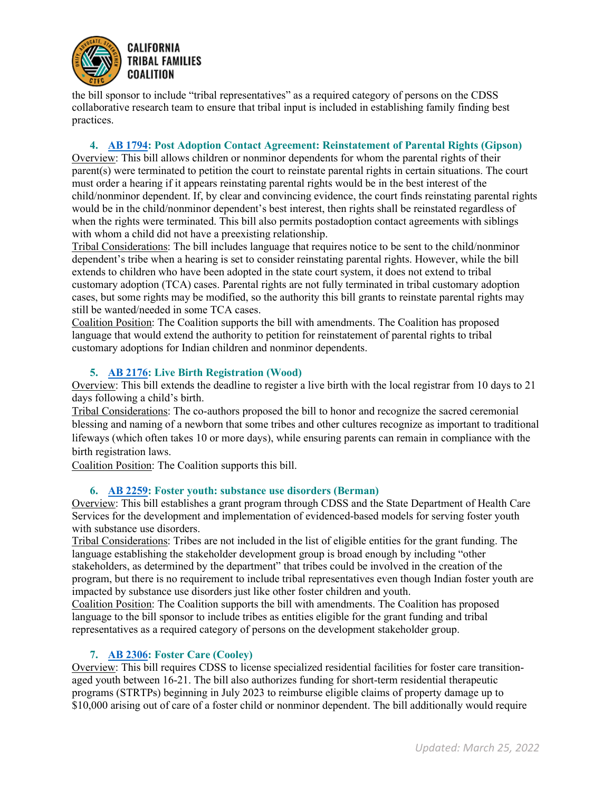

the bill sponsor to include "tribal representatives" as a required category of persons on the CDSS collaborative research team to ensure that tribal input is included in establishing family finding best practices.

# **4. [AB 1794:](https://leginfo.legislature.ca.gov/faces/billTextClient.xhtml?bill_id=202120220AB1794&search_keywords=indian+child) Post Adoption Contact Agreement: Reinstatement of Parental Rights (Gipson)**

Overview: This bill allows children or nonminor dependents for whom the parental rights of their parent(s) were terminated to petition the court to reinstate parental rights in certain situations. The court must order a hearing if it appears reinstating parental rights would be in the best interest of the child/nonminor dependent. If, by clear and convincing evidence, the court finds reinstating parental rights would be in the child/nonminor dependent's best interest, then rights shall be reinstated regardless of when the rights were terminated. This bill also permits postadoption contact agreements with siblings with whom a child did not have a preexisting relationship.

Tribal Considerations: The bill includes language that requires notice to be sent to the child/nonminor dependent's tribe when a hearing is set to consider reinstating parental rights. However, while the bill extends to children who have been adopted in the state court system, it does not extend to tribal customary adoption (TCA) cases. Parental rights are not fully terminated in tribal customary adoption cases, but some rights may be modified, so the authority this bill grants to reinstate parental rights may still be wanted/needed in some TCA cases.

Coalition Position: The Coalition supports the bill with amendments. The Coalition has proposed language that would extend the authority to petition for reinstatement of parental rights to tribal customary adoptions for Indian children and nonminor dependents.

## **5. [AB 2176:](https://leginfo.legislature.ca.gov/faces/billNavClient.xhtml?bill_id=202120220AB2176) Live Birth Registration (Wood)**

Overview: This bill extends the deadline to register a live birth with the local registrar from 10 days to 21 days following a child's birth.

Tribal Considerations: The co-authors proposed the bill to honor and recognize the sacred ceremonial blessing and naming of a newborn that some tribes and other cultures recognize as important to traditional lifeways (which often takes 10 or more days), while ensuring parents can remain in compliance with the birth registration laws.

Coalition Position: The Coalition supports this bill.

## **6. [AB 2259:](https://leginfo.legislature.ca.gov/faces/billTextClient.xhtml?bill_id=202120220AB2259) Foster youth: substance use disorders (Berman)**

Overview: This bill establishes a grant program through CDSS and the State Department of Health Care Services for the development and implementation of evidenced-based models for serving foster youth with substance use disorders.

Tribal Considerations: Tribes are not included in the list of eligible entities for the grant funding. The language establishing the stakeholder development group is broad enough by including "other stakeholders, as determined by the department" that tribes could be involved in the creation of the program, but there is no requirement to include tribal representatives even though Indian foster youth are impacted by substance use disorders just like other foster children and youth.

Coalition Position: The Coalition supports the bill with amendments. The Coalition has proposed language to the bill sponsor to include tribes as entities eligible for the grant funding and tribal representatives as a required category of persons on the development stakeholder group.

## **7. [AB 2306:](https://leginfo.legislature.ca.gov/faces/billNavClient.xhtml?bill_id=202120220AB2306) Foster Care (Cooley)**

Overview: This bill requires CDSS to license specialized residential facilities for foster care transitionaged youth between 16-21. The bill also authorizes funding for short-term residential therapeutic programs (STRTPs) beginning in July 2023 to reimburse eligible claims of property damage up to \$10,000 arising out of care of a foster child or nonminor dependent. The bill additionally would require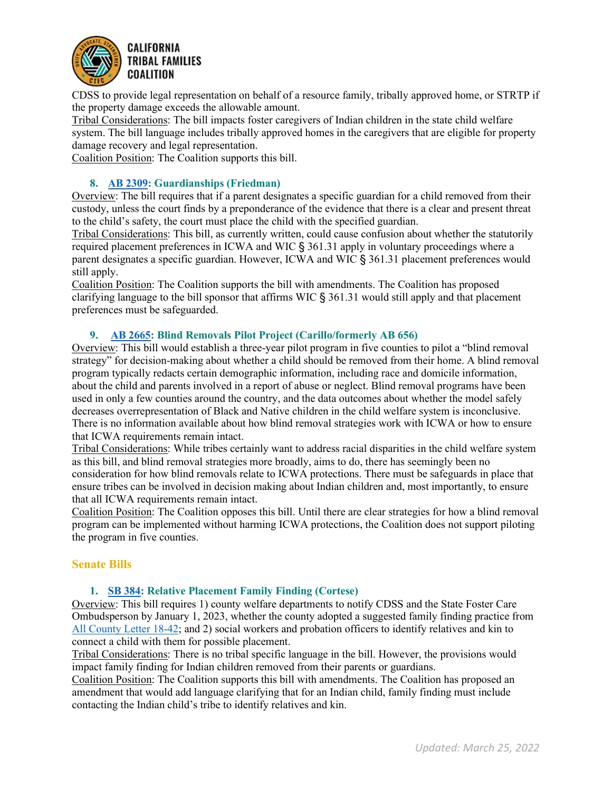

CDSS to provide legal representation on behalf of a resource family, tribally approved home, or STRTP if the property damage exceeds the allowable amount.

Tribal Considerations: The bill impacts foster caregivers of Indian children in the state child welfare system. The bill language includes tribally approved homes in the caregivers that are eligible for property damage recovery and legal representation.

Coalition Position: The Coalition supports this bill.

# **8. [AB 2309:](https://leginfo.legislature.ca.gov/faces/billNavClient.xhtml?bill_id=202120220AB2309) Guardianships (Friedman)**

Overview: The bill requires that if a parent designates a specific guardian for a child removed from their custody, unless the court finds by a preponderance of the evidence that there is a clear and present threat to the child's safety, the court must place the child with the specified guardian.

Tribal Considerations: This bill, as currently written, could cause confusion about whether the statutorily required placement preferences in ICWA and WIC § 361.31 apply in voluntary proceedings where a parent designates a specific guardian. However, ICWA and WIC § 361.31 placement preferences would still apply.

Coalition Position: The Coalition supports the bill with amendments. The Coalition has proposed clarifying language to the bill sponsor that affirms WIC § 361.31 would still apply and that placement preferences must be safeguarded.

# **9. [AB 2665:](https://leginfo.legislature.ca.gov/faces/billNavClient.xhtml?bill_id=202120220AB2665) Blind Removals Pilot Project (Carillo/formerly AB 656)**

Overview: This bill would establish a three-year pilot program in five counties to pilot a "blind removal strategy" for decision-making about whether a child should be removed from their home. A blind removal program typically redacts certain demographic information, including race and domicile information, about the child and parents involved in a report of abuse or neglect. Blind removal programs have been used in only a few counties around the country, and the data outcomes about whether the model safely decreases overrepresentation of Black and Native children in the child welfare system is inconclusive. There is no information available about how blind removal strategies work with ICWA or how to ensure that ICWA requirements remain intact.

Tribal Considerations: While tribes certainly want to address racial disparities in the child welfare system as this bill, and blind removal strategies more broadly, aims to do, there has seemingly been no consideration for how blind removals relate to ICWA protections. There must be safeguards in place that ensure tribes can be involved in decision making about Indian children and, most importantly, to ensure that all ICWA requirements remain intact.

Coalition Position: The Coalition opposes this bill. Until there are clear strategies for how a blind removal program can be implemented without harming ICWA protections, the Coalition does not support piloting the program in five counties.

## **Senate Bills**

## **1. [SB 384:](https://leginfo.legislature.ca.gov/faces/billNavClient.xhtml?bill_id=202120220SB384) Relative Placement Family Finding (Cortese)**

Overview: This bill requires 1) county welfare departments to notify CDSS and the State Foster Care Ombudsperson by January 1, 2023, whether the county adopted a suggested family finding practice from [All County Letter 18-42;](https://www.cdss.ca.gov/Portals/9/ACL/2018/18-42.pdf?ver=2018-04-09-132626-940) and 2) social workers and probation officers to identify relatives and kin to connect a child with them for possible placement.

Tribal Considerations: There is no tribal specific language in the bill. However, the provisions would impact family finding for Indian children removed from their parents or guardians.

Coalition Position: The Coalition supports this bill with amendments. The Coalition has proposed an amendment that would add language clarifying that for an Indian child, family finding must include contacting the Indian child's tribe to identify relatives and kin.